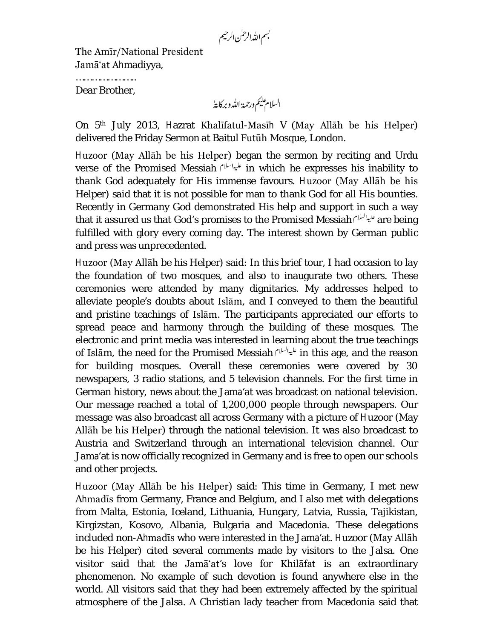بسم الله الرحمٰن الرحيم

The Amīr/National President Jamā'at Ahmadiyya,

………………………… Dear Brother,

السلام يليم ورحمة الله وبركايةُ

On 5 th July 2013, Hazrat Khalīfatul-Masīh V (May Allāh be his Helper) delivered the Friday Sermon at Baitul Futūh Mosque, London.

Huzoor (May Allāh be his Helper) began the sermon by reciting and Urdu verse of the Promised Messiah in which he expresses his inability to thank God adequately for His immense favours. Huzoor (May Allāh be his Helper) said that it is not possible for man to thank God for all His bounties. Recently in Germany God demonstrated His help and support in such a way that it assured us that God's promises to the Promised Messiah المياليلا are being fulfilled with glory every coming day. The interest shown by German public and press was unprecedented.

Huzoor (May Allāh be his Helper) said: In this brief tour, I had occasion to lay the foundation of two mosques, and also to inaugurate two others. These ceremonies were attended by many dignitaries. My addresses helped to alleviate people's doubts about Islām, and I conveyed to them the beautiful and pristine teachings of Islām. The participants appreciated our efforts to spread peace and harmony through the building of these mosques. The electronic and print media was interested in learning about the true teachings of Islam, the need for the Promised Messiah المياليلام in this age, and the reason for building mosques. Overall these ceremonies were covered by 30 newspapers, 3 radio stations, and 5 television channels. For the first time in German history, news about the Jama'at was broadcast on national television. Our message reached a total of 1,200,000 people through newspapers. Our message was also broadcast all across Germany with a picture of Huzoor (May Allāh be his Helper) through the national television. It was also broadcast to Austria and Switzerland through an international television channel. Our Jama'at is now officially recognized in Germany and is free to open our schools and other projects.

Huzoor (May Allāh be his Helper) said: This time in Germany, I met new Ahmadīs from Germany, France and Belgium, and I also met with delegations from Malta, Estonia, Iceland, Lithuania, Hungary, Latvia, Russia, Tajikistan, Kirgizstan, Kosovo, Albania, Bulgaria and Macedonia. These delegations included non-Ahmadīs who were interested in the Jama'at. Huzoor (May Allāh be his Helper) cited several comments made by visitors to the Jalsa. One visitor said that the Jamā'at's love for Khilāfat is an extraordinary phenomenon. No example of such devotion is found anywhere else in the world. All visitors said that they had been extremely affected by the spiritual atmosphere of the Jalsa. A Christian lady teacher from Macedonia said that